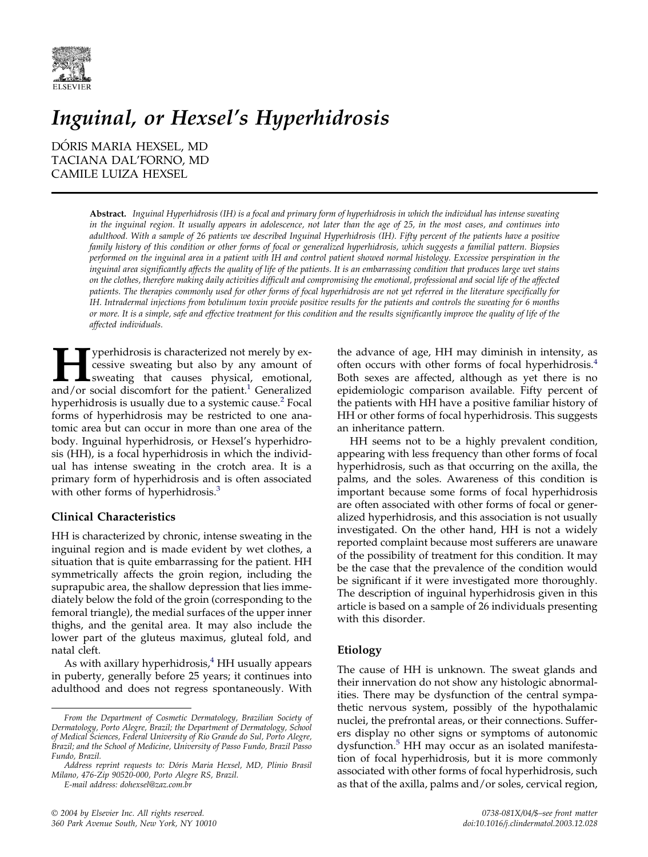

# *Inguinal, or Hexsel's Hyperhidrosis*

DÓRIS MARIA HEXSEL, MD TACIANA DAL'FORNO, MD CAMILE LUIZA HEXSEL

> **Abstract.** *Inguinal Hyperhidrosis (IH) is a focal and primary form of hyperhidrosis in which the individual has intense sweating in the inguinal region. It usually appears in adolescence, not later than the age of 25, in the most cases, and continues into adulthood. With a sample of 26 patients we described Inguinal Hyperhidrosis (IH). Fifty percent of the patients have a positive family history of this condition or other forms of focal or generalized hyperhidrosis, which suggests a familial pattern. Biopsies performed on the inguinal area in a patient with IH and control patient showed normal histology. Excessive perspiration in the inguinal area significantly affects the quality of life of the patients. It is an embarrassing condition that produces large wet stains on the clothes, therefore making daily activities difficult and compromising the emotional, professional and social life of the affected patients. The therapies commonly used for other forms of focal hyperhidrosis are not yet referred in the literature specifically for IH. Intradermal injections from botulinum toxin provide positive results for the patients and controls the sweating for 6 months or more. It is a simple, safe and effective treatment for this condition and the results significantly improve the quality of life of the affected individuals.*

**H**yperhidrosis is characterized not merely by excessive sweating but also by any amount of sweating that causes physical, emotional, and/or social discomfort for the patient.<sup>1</sup> Generalized hyperhidrosis is usually due to a systemic cause.<sup>2</sup> Focal forms of hyperhidrosis may be restricted to one anatomic area but can occur in more than one area of the body. Inguinal hyperhidrosis, or Hexsel's hyperhidrosis (HH), is a focal hyperhidrosis in which the individual has intense sweating in the crotch area. It is a primary form of hyperhidrosis and is often associated with other forms of hyperhidrosis. $3$ 

# **Clinical Characteristics**

HH is characterized by chronic, intense sweating in the inguinal region and is made evident by wet clothes, a situation that is quite embarrassing for the patient. HH symmetrically affects the groin region, including the suprapubic area, the shallow depression that lies immediately below the fold of the groin (corresponding to the femoral triangle), the medial surfaces of the upper inner thighs, and the genital area. It may also include the lower part of the gluteus maximus, gluteal fold, and natal cleft.

As with axillary hyperhidrosis, $4$  HH usually appears in puberty, generally before 25 years; it continues into adulthood and does not regress spontaneously. With

*E-mail address: dohexsel@zaz.com.br*

the advance of age, HH may diminish in intensity, as often occurs with other forms of focal hyperhidrosis.<sup>4</sup> Both sexes are affected, although as yet there is no epidemiologic comparison available. Fifty percent of the patients with HH have a positive familiar history of HH or other forms of focal hyperhidrosis. This suggests an inheritance pattern.

HH seems not to be a highly prevalent condition, appearing with less frequency than other forms of focal hyperhidrosis, such as that occurring on the axilla, the palms, and the soles. Awareness of this condition is important because some forms of focal hyperhidrosis are often associated with other forms of focal or generalized hyperhidrosis, and this association is not usually investigated. On the other hand, HH is not a widely reported complaint because most sufferers are unaware of the possibility of treatment for this condition. It may be the case that the prevalence of the condition would be significant if it were investigated more thoroughly. The description of inguinal hyperhidrosis given in this article is based on a sample of 26 individuals presenting with this disorder.

# **Etiology**

The cause of HH is unknown. The sweat glands and their innervation do not show any histologic abnormalities. There may be dysfunction of the central sympathetic nervous system, possibly of the hypothalamic nuclei, the prefrontal areas, or their connections. Sufferers display no other signs or symptoms of autonomic dysfunction.<sup>5</sup> HH may occur as an isolated manifestation of focal hyperhidrosis, but it is more commonly associated with other forms of focal hyperhidrosis, such as that of the axilla, palms and/or soles, cervical region,

*From the Department of Cosmetic Dermatology, Brazilian Society of Dermatology, Porto Alegre, Brazil; the Department of Dermatology, School of Medical Sciences, Federal University of Rio Grande do Sul, Porto Alegre, Brazil; and the School of Medicine, University of Passo Fundo, Brazil Passo Fundo, Brazil.*

*Address reprint requests to: Do´ris Maria Hexsel, MD, Plinio Brasil Milano, 476-Zip 90520-000, Porto Alegre RS, Brazil.*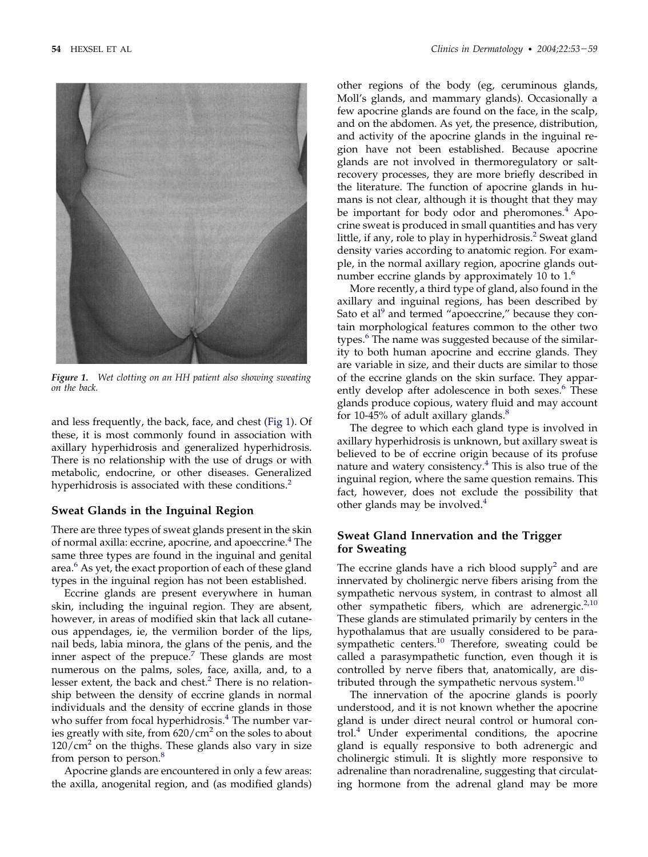

*Figure 1. Wet clotting on an HH patient also showing sweating on the back.*

and less frequently, the back, face, and chest (Fig 1). Of these, it is most commonly found in association with axillary hyperhidrosis and generalized hyperhidrosis. There is no relationship with the use of drugs or with metabolic, endocrine, or other diseases. Generalized hyperhidrosis is associated with these conditions.<sup>2</sup>

#### **Sweat Glands in the Inguinal Region**

There are three types of sweat glands present in the skin of normal axilla: eccrine, apocrine, and apoeccrine.<sup>4</sup> The same three types are found in the inguinal and genital area.<sup>6</sup> As yet, the exact proportion of each of these gland types in the inguinal region has not been established.

Eccrine glands are present everywhere in human skin, including the inguinal region. They are absent, however, in areas of modified skin that lack all cutaneous appendages, ie, the vermilion border of the lips, nail beds, labia minora, the glans of the penis, and the inner aspect of the prepuce.<sup>7</sup> These glands are most numerous on the palms, soles, face, axilla, and, to a lesser extent, the back and chest.<sup>2</sup> There is no relationship between the density of eccrine glands in normal individuals and the density of eccrine glands in those who suffer from focal hyperhidrosis. $4$  The number varies greatly with site, from  $620/cm<sup>2</sup>$  on the soles to about  $120/cm<sup>2</sup>$  on the thighs. These glands also vary in size from person to person.<sup>8</sup>

Apocrine glands are encountered in only a few areas: the axilla, anogenital region, and (as modified glands) other regions of the body (eg, ceruminous glands, Moll's glands, and mammary glands). Occasionally a few apocrine glands are found on the face, in the scalp, and on the abdomen. As yet, the presence, distribution, and activity of the apocrine glands in the inguinal region have not been established. Because apocrine glands are not involved in thermoregulatory or saltrecovery processes, they are more briefly described in the literature. The function of apocrine glands in humans is not clear, although it is thought that they may be important for body odor and pheromones.<sup>4</sup> Apocrine sweat is produced in small quantities and has very little, if any, role to play in hyperhidrosis.<sup>2</sup> Sweat gland density varies according to anatomic region. For example, in the normal axillary region, apocrine glands outnumber eccrine glands by approximately 10 to 1.<sup>6</sup>

More recently, a third type of gland, also found in the axillary and inguinal regions, has been described by Sato et al<sup>9</sup> and termed "apoeccrine," because they contain morphological features common to the other two types.<sup>6</sup> The name was suggested because of the similarity to both human apocrine and eccrine glands. They are variable in size, and their ducts are similar to those of the eccrine glands on the skin surface. They apparently develop after adolescence in both sexes.<sup>6</sup> These glands produce copious, watery fluid and may account for 10-45% of adult axillary glands. $8$ 

The degree to which each gland type is involved in axillary hyperhidrosis is unknown, but axillary sweat is believed to be of eccrine origin because of its profuse nature and watery consistency.<sup>4</sup> This is also true of the inguinal region, where the same question remains. This fact, however, does not exclude the possibility that other glands may be involved. $4$ 

## **Sweat Gland Innervation and the Trigger for Sweating**

The eccrine glands have a rich blood supply<sup>2</sup> and are innervated by cholinergic nerve fibers arising from the sympathetic nervous system, in contrast to almost all other sympathetic fibers, which are adrenergic.<sup>2,10</sup> These glands are stimulated primarily by centers in the hypothalamus that are usually considered to be parasympathetic centers.<sup>10</sup> Therefore, sweating could be called a parasympathetic function, even though it is controlled by nerve fibers that, anatomically, are distributed through the sympathetic nervous system.<sup>10</sup>

The innervation of the apocrine glands is poorly understood, and it is not known whether the apocrine gland is under direct neural control or humoral control[.4](#page-5-0) Under experimental conditions, the apocrine gland is equally responsive to both adrenergic and cholinergic stimuli. It is slightly more responsive to adrenaline than noradrenaline, suggesting that circulating hormone from the adrenal gland may be more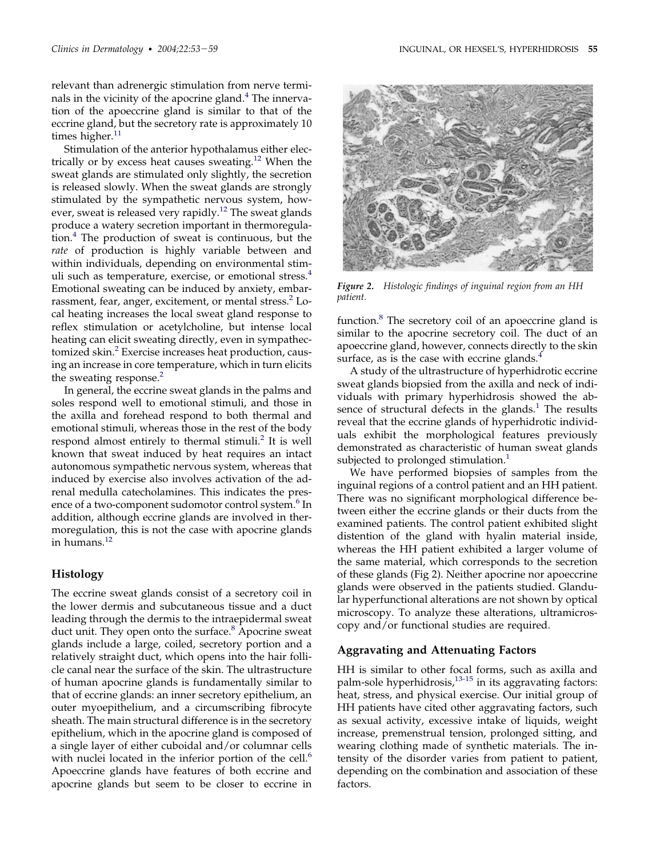relevant than adrenergic stimulation from nerve terminals in the vicinity of the apocrine gland. $4$  The innervation of the apoeccrine gland is similar to that of the eccrine gland, but the secretory rate is approximately 10 times higher. $11$ 

Stimulation of the anterior hypothalamus either electrically or by excess heat causes sweating.<sup>12</sup> When the sweat glands are stimulated only slightly, the secretion is released slowly. When the sweat glands are strongly stimulated by the sympathetic nervous system, however, sweat is released very rapidly.<sup>12</sup> The sweat glands produce a watery secretion important in thermoregulation[.4](#page-5-0) The production of sweat is continuous, but the *rate* of production is highly variable between and within individuals, depending on environmental stimuli such as temperature, exercise, or emotional stress. $4$ Emotional sweating can be induced by anxiety, embarrassment, fear, anger, excitement, or mental stress. $2$  Local heating increases the local sweat gland response to reflex stimulation or acetylcholine, but intense local heating can elicit sweating directly, even in sympathectomized skin.<sup>2</sup> Exercise increases heat production, causing an increase in core temperature, which in turn elicits the sweating response. $2$ 

In general, the eccrine sweat glands in the palms and soles respond well to emotional stimuli, and those in the axilla and forehead respond to both thermal and emotional stimuli, whereas those in the rest of the body respond almost entirely to thermal stimuli.<sup>2</sup> It is well known that sweat induced by heat requires an intact autonomous sympathetic nervous system, whereas that induced by exercise also involves activation of the adrenal medulla catecholamines. This indicates the presence of a two-component sudomotor control system.<sup>6</sup> In addition, although eccrine glands are involved in thermoregulation, this is not the case with apocrine glands in humans. $12$ 

## **Histology**

The eccrine sweat glands consist of a secretory coil in the lower dermis and subcutaneous tissue and a duct leading through the dermis to the intraepidermal sweat duct unit. They open onto the surface.<sup>8</sup> Apocrine sweat glands include a large, coiled, secretory portion and a relatively straight duct, which opens into the hair follicle canal near the surface of the skin. The ultrastructure of human apocrine glands is fundamentally similar to that of eccrine glands: an inner secretory epithelium, an outer myoepithelium, and a circumscribing fibrocyte sheath. The main structural difference is in the secretory epithelium, which in the apocrine gland is composed of a single layer of either cuboidal and/or columnar cells with nuclei located in the inferior portion of the cell.<sup>6</sup> Apoeccrine glands have features of both eccrine and apocrine glands but seem to be closer to eccrine in



*Figure 2. Histologic findings of inguinal region from an HH patient.*

function. $8$  The secretory coil of an apoeccrine gland is similar to the apocrine secretory coil. The duct of an apoeccrine gland, however, connects directly to the skin surface, as is the case with eccrine glands. $4$ 

A study of the ultrastructure of hyperhidrotic eccrine sweat glands biopsied from the axilla and neck of individuals with primary hyperhidrosis showed the absence of structural defects in the glands.<sup>1</sup> The results reveal that the eccrine glands of hyperhidrotic individuals exhibit the morphological features previously demonstrated as characteristic of human sweat glands subjected to prolonged stimulation.<sup>1</sup>

We have performed biopsies of samples from the inguinal regions of a control patient and an HH patient. There was no significant morphological difference between either the eccrine glands or their ducts from the examined patients. The control patient exhibited slight distention of the gland with hyalin material inside, whereas the HH patient exhibited a larger volume of the same material, which corresponds to the secretion of these glands (Fig 2). Neither apocrine nor apoeccrine glands were observed in the patients studied. Glandular hyperfunctional alterations are not shown by optical microscopy. To analyze these alterations, ultramicroscopy and/or functional studies are required.

## **Aggravating and Attenuating Factors**

HH is similar to other focal forms, such as axilla and palm-sole hyperhidrosis, $13-15$  in its aggravating factors: heat, stress, and physical exercise. Our initial group of HH patients have cited other aggravating factors, such as sexual activity, excessive intake of liquids, weight increase, premenstrual tension, prolonged sitting, and wearing clothing made of synthetic materials. The intensity of the disorder varies from patient to patient, depending on the combination and association of these factors.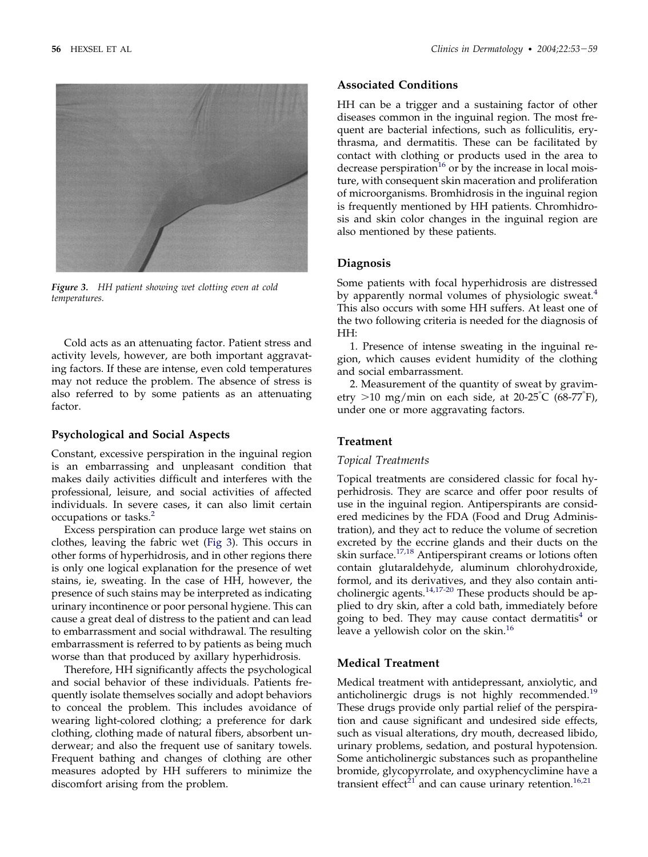

*Figure 3. HH patient showing wet clotting even at cold temperatures.*

Cold acts as an attenuating factor. Patient stress and activity levels, however, are both important aggravating factors. If these are intense, even cold temperatures may not reduce the problem. The absence of stress is also referred to by some patients as an attenuating factor.

#### **Psychological and Social Aspects**

Constant, excessive perspiration in the inguinal region is an embarrassing and unpleasant condition that makes daily activities difficult and interferes with the professional, leisure, and social activities of affected individuals. In severe cases, it can also limit certain occupations or tasks.<sup>2</sup>

Excess perspiration can produce large wet stains on clothes, leaving the fabric wet (Fig 3). This occurs in other forms of hyperhidrosis, and in other regions there is only one logical explanation for the presence of wet stains, ie, sweating. In the case of HH, however, the presence of such stains may be interpreted as indicating urinary incontinence or poor personal hygiene. This can cause a great deal of distress to the patient and can lead to embarrassment and social withdrawal. The resulting embarrassment is referred to by patients as being much worse than that produced by axillary hyperhidrosis.

Therefore, HH significantly affects the psychological and social behavior of these individuals. Patients frequently isolate themselves socially and adopt behaviors to conceal the problem. This includes avoidance of wearing light-colored clothing; a preference for dark clothing, clothing made of natural fibers, absorbent underwear; and also the frequent use of sanitary towels. Frequent bathing and changes of clothing are other measures adopted by HH sufferers to minimize the discomfort arising from the problem.

### **Associated Conditions**

HH can be a trigger and a sustaining factor of other diseases common in the inguinal region. The most frequent are bacterial infections, such as folliculitis, erythrasma, and dermatitis. These can be facilitated by contact with clothing or products used in the area to decrease perspiration<sup>16</sup> or by the increase in local moisture, with consequent skin maceration and proliferation of microorganisms. Bromhidrosis in the inguinal region is frequently mentioned by HH patients. Chromhidrosis and skin color changes in the inguinal region are also mentioned by these patients.

#### **Diagnosis**

Some patients with focal hyperhidrosis are distressed by apparently normal volumes of physiologic sweat.<sup>4</sup> This also occurs with some HH suffers. At least one of the two following criteria is needed for the diagnosis of HH:

1. Presence of intense sweating in the inguinal region, which causes evident humidity of the clothing and social embarrassment.

2. Measurement of the quantity of sweat by gravimetry -10 mg/min on each side, at 20-25° C (68-77° F), under one or more aggravating factors.

### **Treatment**

#### *Topical Treatments*

Topical treatments are considered classic for focal hyperhidrosis. They are scarce and offer poor results of use in the inguinal region. Antiperspirants are considered medicines by the FDA (Food and Drug Administration), and they act to reduce the volume of secretion excreted by the eccrine glands and their ducts on the skin surface. $17,18$  Antiperspirant creams or lotions often contain glutaraldehyde, aluminum chlorohydroxide, formol, and its derivatives, and they also contain anticholinergic agents.<sup>14,17-20</sup> These products should be applied to dry skin, after a cold bath, immediately before going to bed. They may cause contact dermatitis $4$  or leave a yellowish color on the skin.<sup>16</sup>

#### **Medical Treatment**

Medical treatment with antidepressant, anxiolytic, and anticholinergic drugs is not highly recommended.<sup>19</sup> These drugs provide only partial relief of the perspiration and cause significant and undesired side effects, such as visual alterations, dry mouth, decreased libido, urinary problems, sedation, and postural hypotension. Some anticholinergic substances such as propantheline bromide, glycopyrrolate, and oxyphencyclimine have a transient effect<sup>21</sup> and can cause urinary retention.<sup>16,21</sup>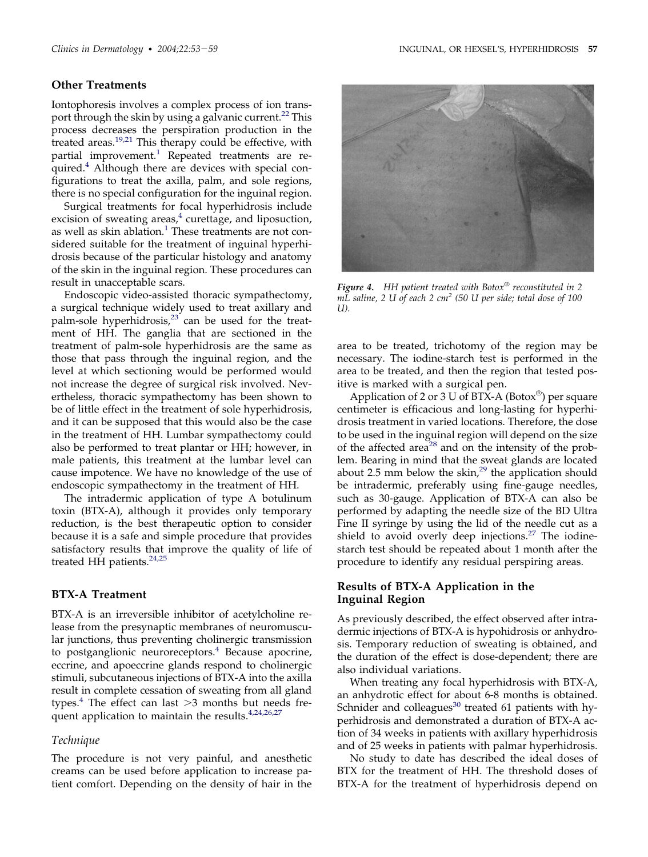#### <span id="page-4-0"></span>**Other Treatments**

Iontophoresis involves a complex process of ion transport through the skin by using a galvanic current.<sup>22</sup> This process decreases the perspiration production in the treated areas.<sup>19,21</sup> This therapy could be effective, with partial improvement.<sup>1</sup> Repeated treatments are required.<sup>4</sup> Although there are devices with special configurations to treat the axilla, palm, and sole regions, there is no special configuration for the inguinal region.

Surgical treatments for focal hyperhidrosis include excision of sweating areas, $4$  curettage, and liposuction, as well as skin ablation. $1$  These treatments are not considered suitable for the treatment of inguinal hyperhidrosis because of the particular histology and anatomy of the skin in the inguinal region. These procedures can result in unacceptable scars.

Endoscopic video-assisted thoracic sympathectomy, a surgical technique widely used to treat axillary and palm-sole hyperhidrosis, $2^3$  can be used for the treatment of HH. The ganglia that are sectioned in the treatment of palm-sole hyperhidrosis are the same as those that pass through the inguinal region, and the level at which sectioning would be performed would not increase the degree of surgical risk involved. Nevertheless, thoracic sympathectomy has been shown to be of little effect in the treatment of sole hyperhidrosis, and it can be supposed that this would also be the case in the treatment of HH. Lumbar sympathectomy could also be performed to treat plantar or HH; however, in male patients, this treatment at the lumbar level can cause impotence. We have no knowledge of the use of endoscopic sympathectomy in the treatment of HH.

The intradermic application of type A botulinum toxin (BTX-A), although it provides only temporary reduction, is the best therapeutic option to consider because it is a safe and simple procedure that provides satisfactory results that improve the quality of life of treated HH patients.<sup>24,25</sup>

### **BTX-A Treatment**

BTX-A is an irreversible inhibitor of acetylcholine release from the presynaptic membranes of neuromuscular junctions, thus preventing cholinergic transmission to postganglionic neuroreceptors.<sup>4</sup> Because apocrine, eccrine, and apoeccrine glands respond to cholinergic stimuli, subcutaneous injections of BTX-A into the axilla result in complete cessation of sweating from all gland types. $4$  The effect can last  $>3$  months but needs frequent application to maintain the results.<sup>4,24,26,27</sup>

### *Technique*

The procedure is not very painful, and anesthetic creams can be used before application to increase patient comfort. Depending on the density of hair in the



*Figure 4. HH patient treated with Botox® reconstituted in 2 mL saline, 2 U of each 2 cm2 (50 U per side; total dose of 100 U).*

area to be treated, trichotomy of the region may be necessary. The iodine-starch test is performed in the area to be treated, and then the region that tested positive is marked with a surgical pen.

Application of 2 or 3 U of BTX-A (Botox<sup>®</sup>) per square centimeter is efficacious and long-lasting for hyperhidrosis treatment in varied locations. Therefore, the dose to be used in the inguinal region will depend on the size of the affected are $a^{28}$  and on the intensity of the problem. Bearing in mind that the sweat glands are located about 2.5 mm below the skin, $^{29}$  the application should be intradermic, preferably using fine-gauge needles, such as 30-gauge. Application of BTX-A can also be performed by adapting the needle size of the BD Ultra Fine II syringe by using the lid of the needle cut as a shield to avoid overly deep injections.<sup>27</sup> The iodinestarch test should be repeated about 1 month after the procedure to identify any residual perspiring areas.

## **Results of BTX-A Application in the Inguinal Region**

As previously described, the effect observed after intradermic injections of BTX-A is hypohidrosis or anhydrosis. Temporary reduction of sweating is obtained, and the duration of the effect is dose-dependent; there are also individual variations.

When treating any focal hyperhidrosis with BTX-A, an anhydrotic effect for about 6-8 months is obtained. Schnider and colleagues $30$  treated 61 patients with hyperhidrosis and demonstrated a duration of BTX-A action of 34 weeks in patients with axillary hyperhidrosis and of 25 weeks in patients with palmar hyperhidrosis.

No study to date has described the ideal doses of BTX for the treatment of HH. The threshold doses of BTX-A for the treatment of hyperhidrosis depend on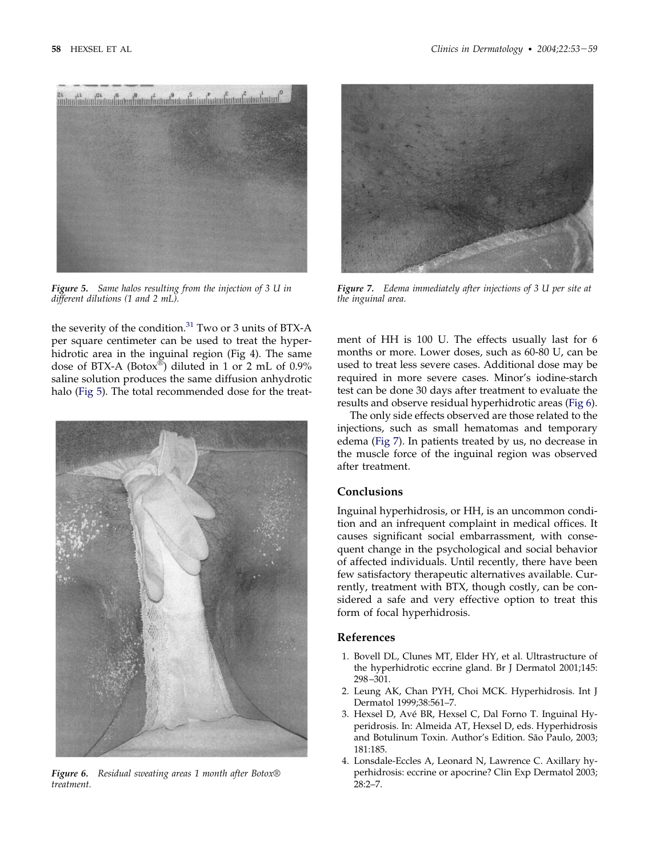<span id="page-5-0"></span>

*Figure 5. Same halos resulting from the injection of 3 U in different dilutions (1 and 2 mL).*

the severity of the condition.<sup>31</sup> Two or 3 units of BTX-A per square centimeter can be used to treat the hyperhidrotic area in the inguinal region [\(Fig 4\).](#page-4-0) The same dose of BTX-A (Botox<sup>®</sup>) diluted in 1 or 2 mL of  $0.9\%$ saline solution produces the same diffusion anhydrotic halo (Fig 5). The total recommended dose for the treat-



*Figure 6. Residual sweating areas 1 month after Botox® treatment.*



*Figure 7. Edema immediately after injections of 3 U per site at the inguinal area.*

ment of HH is 100 U. The effects usually last for 6 months or more. Lower doses, such as 60-80 U, can be used to treat less severe cases. Additional dose may be required in more severe cases. Minor's iodine-starch test can be done 30 days after treatment to evaluate the results and observe residual hyperhidrotic areas (Fig 6).

The only side effects observed are those related to the injections, such as small hematomas and temporary edema (Fig 7). In patients treated by us, no decrease in the muscle force of the inguinal region was observed after treatment.

## **Conclusions**

Inguinal hyperhidrosis, or HH, is an uncommon condition and an infrequent complaint in medical offices. It causes significant social embarrassment, with consequent change in the psychological and social behavior of affected individuals. Until recently, there have been few satisfactory therapeutic alternatives available. Currently, treatment with BTX, though costly, can be considered a safe and very effective option to treat this form of focal hyperhidrosis.

### **References**

- 1. Bovell DL, Clunes MT, Elder HY, et al. Ultrastructure of the hyperhidrotic eccrine gland. Br J Dermatol 2001;145: 298–301.
- 2. Leung AK, Chan PYH, Choi MCK. Hyperhidrosis. Int J Dermatol 1999;38:561–7.
- 3. Hexsel D, Avé BR, Hexsel C, Dal Forno T. Inguinal Hyperidrosis. In: Almeida AT, Hexsel D, eds. Hyperhidrosis and Botulinum Toxin. Author's Edition. São Paulo, 2003; 181:185.
- 4. Lonsdale-Eccles A, Leonard N, Lawrence C. Axillary hyperhidrosis: eccrine or apocrine? Clin Exp Dermatol 2003; 28:2–7.